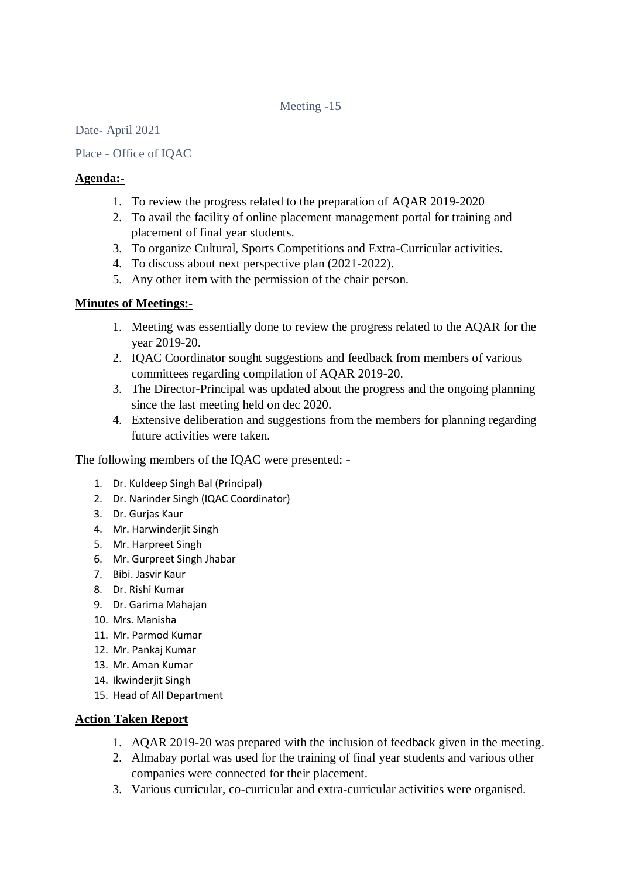## Meeting -15

Date- April 2021

Place - Office of IQAC

## **Agenda:-**

- 1. To review the progress related to the preparation of AQAR 2019-2020
- 2. To avail the facility of online placement management portal for training and placement of final year students.
- 3. To organize Cultural, Sports Competitions and Extra-Curricular activities.
- 4. To discuss about next perspective plan (2021-2022).
- 5. Any other item with the permission of the chair person.

## **Minutes of Meetings:-**

- 1. Meeting was essentially done to review the progress related to the AQAR for the year 2019-20.
- 2. IQAC Coordinator sought suggestions and feedback from members of various committees regarding compilation of AQAR 2019-20.
- 3. The Director-Principal was updated about the progress and the ongoing planning since the last meeting held on dec 2020.
- 4. Extensive deliberation and suggestions from the members for planning regarding future activities were taken.

The following members of the IQAC were presented: -

- 1. Dr. Kuldeep Singh Bal (Principal)
- 2. Dr. Narinder Singh (IQAC Coordinator)
- 3. Dr. Gurjas Kaur
- 4. Mr. Harwinderjit Singh
- 5. Mr. Harpreet Singh
- 6. Mr. Gurpreet Singh Jhabar
- 7. Bibi. Jasvir Kaur
- 8. Dr. Rishi Kumar
- 9. Dr. Garima Mahajan
- 10. Mrs. Manisha
- 11. Mr. Parmod Kumar
- 12. Mr. Pankaj Kumar
- 13. Mr. Aman Kumar
- 14. Ikwinderjit Singh
- 15. Head of All Department

## **Action Taken Report**

- 1. AQAR 2019-20 was prepared with the inclusion of feedback given in the meeting.
- 2. Almabay portal was used for the training of final year students and various other companies were connected for their placement.
- 3. Various curricular, co-curricular and extra-curricular activities were organised.